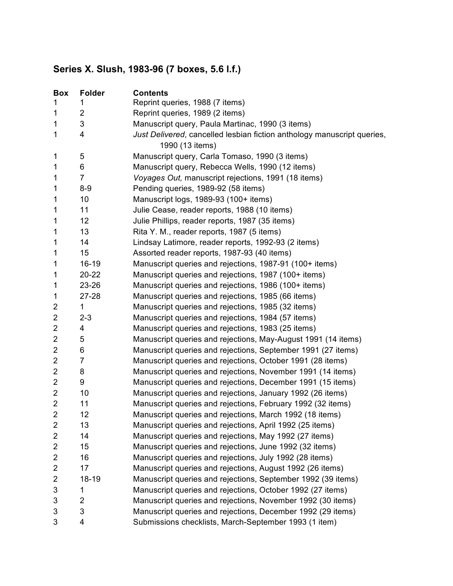## **Series X. Slush, 1983-96 (7 boxes, 5.6 l.f.)**

| <b>Box</b>              | <b>Folder</b>  | <b>Contents</b>                                                         |
|-------------------------|----------------|-------------------------------------------------------------------------|
| 1                       | 1              | Reprint queries, 1988 (7 items)                                         |
| 1                       | 2              | Reprint queries, 1989 (2 items)                                         |
| 1                       | 3              | Manuscript query, Paula Martinac, 1990 (3 items)                        |
| 1                       | 4              | Just Delivered, cancelled lesbian fiction anthology manuscript queries, |
|                         |                | 1990 (13 items)                                                         |
| 1                       | 5              | Manuscript query, Carla Tomaso, 1990 (3 items)                          |
| 1                       | 6              | Manuscript query, Rebecca Wells, 1990 (12 items)                        |
| 1                       | $\overline{7}$ | Voyages Out, manuscript rejections, 1991 (18 items)                     |
| 1                       | $8 - 9$        | Pending queries, 1989-92 (58 items)                                     |
| 1                       | 10             | Manuscript logs, 1989-93 (100+ items)                                   |
| 1                       | 11             | Julie Cease, reader reports, 1988 (10 items)                            |
| 1                       | 12             | Julie Phillips, reader reports, 1987 (35 items)                         |
| 1                       | 13             | Rita Y. M., reader reports, 1987 (5 items)                              |
| 1                       | 14             | Lindsay Latimore, reader reports, 1992-93 (2 items)                     |
| 1                       | 15             | Assorted reader reports, 1987-93 (40 items)                             |
| 1                       | $16-19$        | Manuscript queries and rejections, 1987-91 (100+ items)                 |
| 1                       | 20-22          | Manuscript queries and rejections, 1987 (100+ items)                    |
| 1                       | 23-26          | Manuscript queries and rejections, 1986 (100+ items)                    |
| 1                       | 27-28          | Manuscript queries and rejections, 1985 (66 items)                      |
| $\overline{\mathbf{c}}$ | 1              | Manuscript queries and rejections, 1985 (32 items)                      |
| 2                       | $2 - 3$        | Manuscript queries and rejections, 1984 (57 items)                      |
| 2                       | 4              | Manuscript queries and rejections, 1983 (25 items)                      |
| $\overline{c}$          | 5              | Manuscript queries and rejections, May-August 1991 (14 items)           |
| $\overline{\mathbf{c}}$ | 6              | Manuscript queries and rejections, September 1991 (27 items)            |
| $\overline{c}$          | $\overline{7}$ | Manuscript queries and rejections, October 1991 (28 items)              |
| $\overline{c}$          | 8              | Manuscript queries and rejections, November 1991 (14 items)             |
| $\overline{\mathbf{c}}$ | 9              | Manuscript queries and rejections, December 1991 (15 items)             |
| $\overline{\mathbf{c}}$ | 10             | Manuscript queries and rejections, January 1992 (26 items)              |
| $\overline{\mathbf{c}}$ | 11             | Manuscript queries and rejections, February 1992 (32 items)             |
| $\overline{2}$          | 12             | Manuscript queries and rejections, March 1992 (18 items)                |
| 2                       | 13             | Manuscript queries and rejections, April 1992 (25 items)                |
| $\overline{c}$          | 14             | Manuscript queries and rejections, May 1992 (27 items)                  |
| $\overline{\mathbf{c}}$ | 15             | Manuscript queries and rejections, June 1992 (32 items)                 |
| 2                       | 16             | Manuscript queries and rejections, July 1992 (28 items)                 |
| $\overline{\mathbf{c}}$ | 17             | Manuscript queries and rejections, August 1992 (26 items)               |
| 2                       | 18-19          | Manuscript queries and rejections, September 1992 (39 items)            |
| 3                       | 1              | Manuscript queries and rejections, October 1992 (27 items)              |
| 3                       | 2              | Manuscript queries and rejections, November 1992 (30 items)             |
| 3                       | 3              | Manuscript queries and rejections, December 1992 (29 items)             |
| 3                       | 4              | Submissions checklists, March-September 1993 (1 item)                   |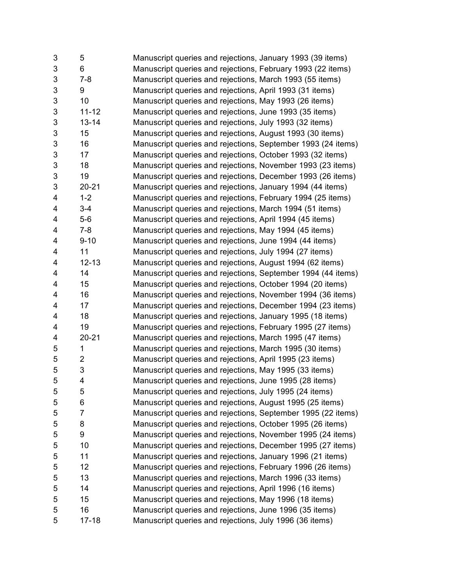| 3          | 5              | Manuscript queries and rejections, January 1993 (39 items)   |
|------------|----------------|--------------------------------------------------------------|
| 3          | 6              | Manuscript queries and rejections, February 1993 (22 items)  |
| 3          | $7 - 8$        | Manuscript queries and rejections, March 1993 (55 items)     |
| 3          | 9              | Manuscript queries and rejections, April 1993 (31 items)     |
| 3          | 10             | Manuscript queries and rejections, May 1993 (26 items)       |
| $\sqrt{3}$ | $11 - 12$      | Manuscript queries and rejections, June 1993 (35 items)      |
| 3          | $13 - 14$      | Manuscript queries and rejections, July 1993 (32 items)      |
| 3          | 15             | Manuscript queries and rejections, August 1993 (30 items)    |
| 3          | 16             | Manuscript queries and rejections, September 1993 (24 items) |
| $\sqrt{3}$ | 17             | Manuscript queries and rejections, October 1993 (32 items)   |
| 3          | 18             | Manuscript queries and rejections, November 1993 (23 items)  |
| $\sqrt{3}$ | 19             | Manuscript queries and rejections, December 1993 (26 items)  |
| 3          | $20 - 21$      | Manuscript queries and rejections, January 1994 (44 items)   |
| 4          | $1 - 2$        | Manuscript queries and rejections, February 1994 (25 items)  |
| 4          | $3 - 4$        | Manuscript queries and rejections, March 1994 (51 items)     |
| 4          | $5-6$          | Manuscript queries and rejections, April 1994 (45 items)     |
| 4          | $7 - 8$        | Manuscript queries and rejections, May 1994 (45 items)       |
| 4          | $9 - 10$       | Manuscript queries and rejections, June 1994 (44 items)      |
| 4          | 11             | Manuscript queries and rejections, July 1994 (27 items)      |
| 4          | $12 - 13$      | Manuscript queries and rejections, August 1994 (62 items)    |
| 4          | 14             | Manuscript queries and rejections, September 1994 (44 items) |
| 4          | 15             | Manuscript queries and rejections, October 1994 (20 items)   |
| 4          | 16             | Manuscript queries and rejections, November 1994 (36 items)  |
| 4          | 17             | Manuscript queries and rejections, December 1994 (23 items)  |
| 4          | 18             | Manuscript queries and rejections, January 1995 (18 items)   |
| 4          | 19             | Manuscript queries and rejections, February 1995 (27 items)  |
| 4          | $20 - 21$      | Manuscript queries and rejections, March 1995 (47 items)     |
| 5          | 1              | Manuscript queries and rejections, March 1995 (30 items)     |
| 5          | $\overline{c}$ | Manuscript queries and rejections, April 1995 (23 items)     |
| 5          | 3              | Manuscript queries and rejections, May 1995 (33 items)       |
| 5          | 4              | Manuscript queries and rejections, June 1995 (28 items)      |
| 5          | 5              | Manuscript queries and rejections, July 1995 (24 items)      |
| 5          | 6              | Manuscript queries and rejections, August 1995 (25 items)    |
| 5          | 7              | Manuscript queries and rejections, September 1995 (22 items) |
| 5          | 8              | Manuscript queries and rejections, October 1995 (26 items)   |
| 5          | 9              | Manuscript queries and rejections, November 1995 (24 items)  |
| 5          | 10             | Manuscript queries and rejections, December 1995 (27 items)  |
| 5          | 11             | Manuscript queries and rejections, January 1996 (21 items)   |
| 5          | 12             | Manuscript queries and rejections, February 1996 (26 items)  |
| 5          | 13             | Manuscript queries and rejections, March 1996 (33 items)     |
| 5          | 14             | Manuscript queries and rejections, April 1996 (16 items)     |
| 5          | 15             | Manuscript queries and rejections, May 1996 (18 items)       |
| 5          | 16             | Manuscript queries and rejections, June 1996 (35 items)      |
| 5          | $17 - 18$      | Manuscript queries and rejections, July 1996 (36 items)      |